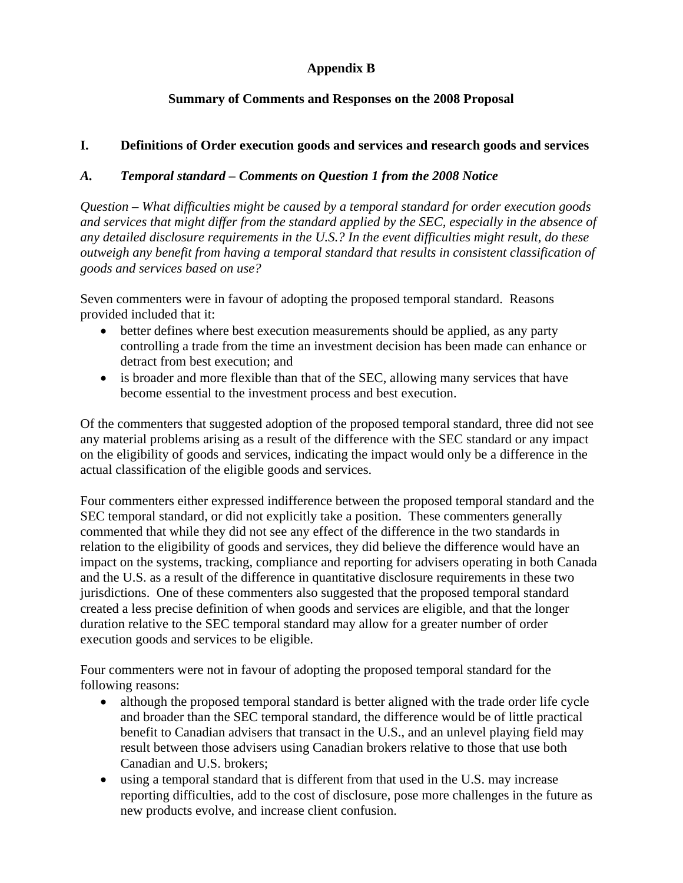# **Appendix B**

## **Summary of Comments and Responses on the 2008 Proposal**

### **I. Definitions of Order execution goods and services and research goods and services**

### *A. Temporal standard – Comments on Question 1 from the 2008 Notice*

*Question – What difficulties might be caused by a temporal standard for order execution goods and services that might differ from the standard applied by the SEC, especially in the absence of any detailed disclosure requirements in the U.S.? In the event difficulties might result, do these outweigh any benefit from having a temporal standard that results in consistent classification of goods and services based on use?* 

Seven commenters were in favour of adopting the proposed temporal standard. Reasons provided included that it:

- better defines where best execution measurements should be applied, as any party controlling a trade from the time an investment decision has been made can enhance or detract from best execution; and
- is broader and more flexible than that of the SEC, allowing many services that have become essential to the investment process and best execution.

Of the commenters that suggested adoption of the proposed temporal standard, three did not see any material problems arising as a result of the difference with the SEC standard or any impact on the eligibility of goods and services, indicating the impact would only be a difference in the actual classification of the eligible goods and services.

Four commenters either expressed indifference between the proposed temporal standard and the SEC temporal standard, or did not explicitly take a position. These commenters generally commented that while they did not see any effect of the difference in the two standards in relation to the eligibility of goods and services, they did believe the difference would have an impact on the systems, tracking, compliance and reporting for advisers operating in both Canada and the U.S. as a result of the difference in quantitative disclosure requirements in these two jurisdictions. One of these commenters also suggested that the proposed temporal standard created a less precise definition of when goods and services are eligible, and that the longer duration relative to the SEC temporal standard may allow for a greater number of order execution goods and services to be eligible.

Four commenters were not in favour of adopting the proposed temporal standard for the following reasons:

- although the proposed temporal standard is better aligned with the trade order life cycle and broader than the SEC temporal standard, the difference would be of little practical benefit to Canadian advisers that transact in the U.S., and an unlevel playing field may result between those advisers using Canadian brokers relative to those that use both Canadian and U.S. brokers;
- using a temporal standard that is different from that used in the U.S. may increase reporting difficulties, add to the cost of disclosure, pose more challenges in the future as new products evolve, and increase client confusion.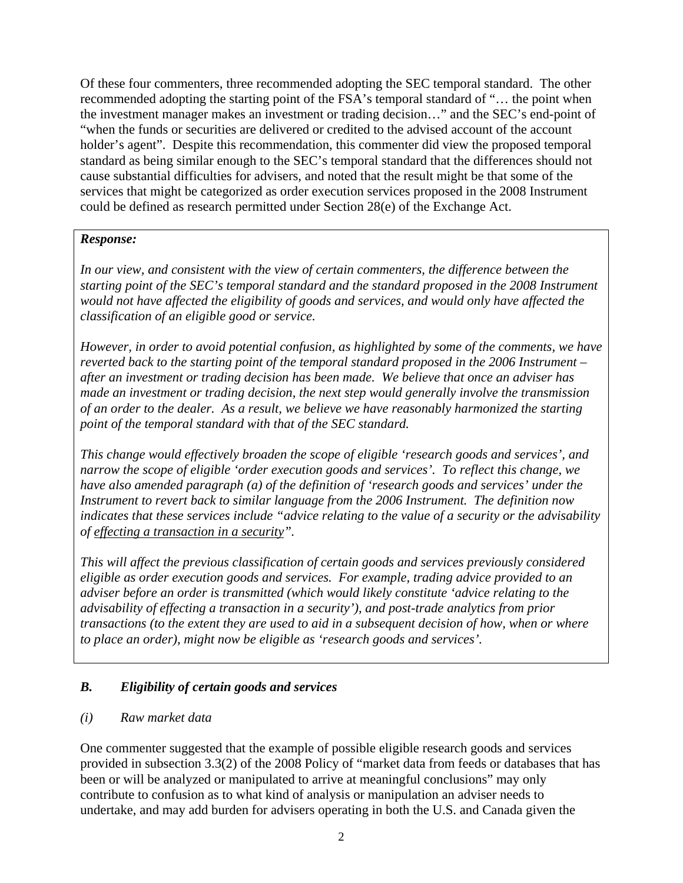Of these four commenters, three recommended adopting the SEC temporal standard. The other recommended adopting the starting point of the FSA's temporal standard of "… the point when the investment manager makes an investment or trading decision…" and the SEC's end-point of "when the funds or securities are delivered or credited to the advised account of the account holder's agent". Despite this recommendation, this commenter did view the proposed temporal standard as being similar enough to the SEC's temporal standard that the differences should not cause substantial difficulties for advisers, and noted that the result might be that some of the services that might be categorized as order execution services proposed in the 2008 Instrument could be defined as research permitted under Section 28(e) of the Exchange Act.

# *Response:*

*In our view, and consistent with the view of certain commenters, the difference between the starting point of the SEC's temporal standard and the standard proposed in the 2008 Instrument would not have affected the eligibility of goods and services, and would only have affected the classification of an eligible good or service.* 

*However, in order to avoid potential confusion, as highlighted by some of the comments, we have reverted back to the starting point of the temporal standard proposed in the 2006 Instrument – after an investment or trading decision has been made. We believe that once an adviser has made an investment or trading decision, the next step would generally involve the transmission of an order to the dealer. As a result, we believe we have reasonably harmonized the starting point of the temporal standard with that of the SEC standard.* 

*This change would effectively broaden the scope of eligible 'research goods and services', and narrow the scope of eligible 'order execution goods and services'. To reflect this change, we have also amended paragraph (a) of the definition of 'research goods and services' under the Instrument to revert back to similar language from the 2006 Instrument. The definition now indicates that these services include "advice relating to the value of a security or the advisability of effecting a transaction in a security".* 

*This will affect the previous classification of certain goods and services previously considered eligible as order execution goods and services. For example, trading advice provided to an adviser before an order is transmitted (which would likely constitute 'advice relating to the advisability of effecting a transaction in a security'), and post-trade analytics from prior transactions (to the extent they are used to aid in a subsequent decision of how, when or where to place an order), might now be eligible as 'research goods and services'.* 

# *B. Eligibility of certain goods and services*

### *(i) Raw market data*

One commenter suggested that the example of possible eligible research goods and services provided in subsection 3.3(2) of the 2008 Policy of "market data from feeds or databases that has been or will be analyzed or manipulated to arrive at meaningful conclusions" may only contribute to confusion as to what kind of analysis or manipulation an adviser needs to undertake, and may add burden for advisers operating in both the U.S. and Canada given the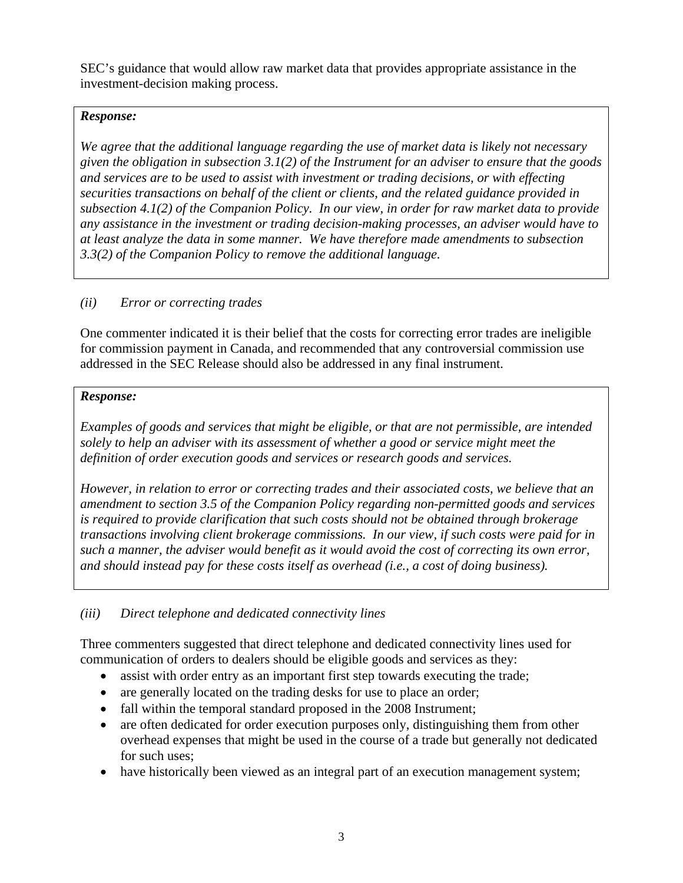SEC's guidance that would allow raw market data that provides appropriate assistance in the investment-decision making process.

## *Response:*

*We agree that the additional language regarding the use of market data is likely not necessary given the obligation in subsection 3.1(2) of the Instrument for an adviser to ensure that the goods and services are to be used to assist with investment or trading decisions, or with effecting securities transactions on behalf of the client or clients, and the related guidance provided in subsection 4.1(2) of the Companion Policy. In our view, in order for raw market data to provide any assistance in the investment or trading decision-making processes, an adviser would have to at least analyze the data in some manner. We have therefore made amendments to subsection 3.3(2) of the Companion Policy to remove the additional language.* 

## *(ii) Error or correcting trades*

One commenter indicated it is their belief that the costs for correcting error trades are ineligible for commission payment in Canada, and recommended that any controversial commission use addressed in the SEC Release should also be addressed in any final instrument.

### *Response:*

*Examples of goods and services that might be eligible, or that are not permissible, are intended solely to help an adviser with its assessment of whether a good or service might meet the definition of order execution goods and services or research goods and services.* 

*However, in relation to error or correcting trades and their associated costs, we believe that an amendment to section 3.5 of the Companion Policy regarding non-permitted goods and services is required to provide clarification that such costs should not be obtained through brokerage transactions involving client brokerage commissions. In our view, if such costs were paid for in such a manner, the adviser would benefit as it would avoid the cost of correcting its own error, and should instead pay for these costs itself as overhead (i.e., a cost of doing business).* 

# *(iii) Direct telephone and dedicated connectivity lines*

Three commenters suggested that direct telephone and dedicated connectivity lines used for communication of orders to dealers should be eligible goods and services as they:

- assist with order entry as an important first step towards executing the trade;
- are generally located on the trading desks for use to place an order;
- fall within the temporal standard proposed in the 2008 Instrument;
- are often dedicated for order execution purposes only, distinguishing them from other overhead expenses that might be used in the course of a trade but generally not dedicated for such uses;
- have historically been viewed as an integral part of an execution management system;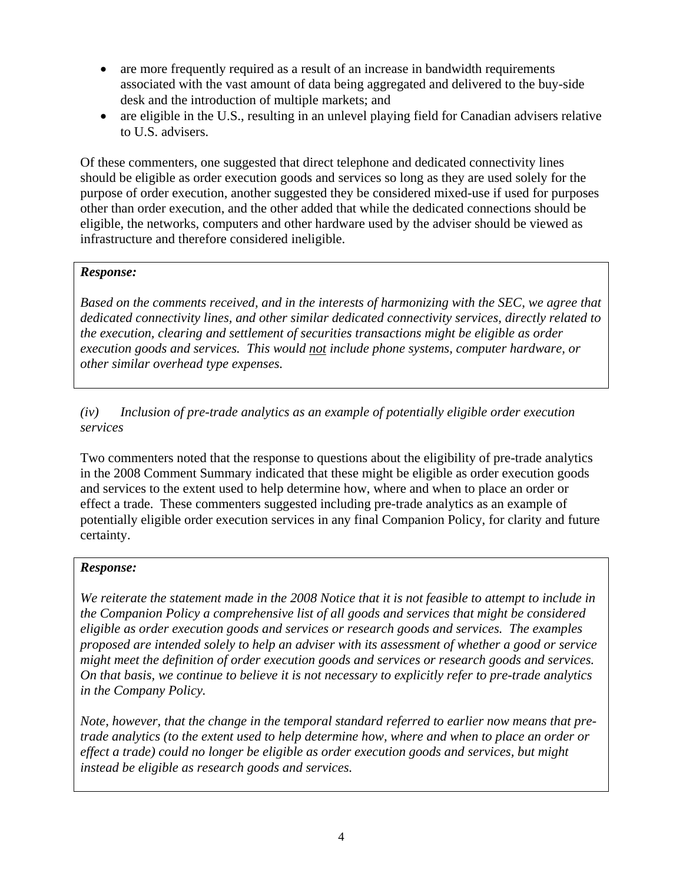- are more frequently required as a result of an increase in bandwidth requirements associated with the vast amount of data being aggregated and delivered to the buy-side desk and the introduction of multiple markets; and
- are eligible in the U.S., resulting in an unlevel playing field for Canadian advisers relative to U.S. advisers.

Of these commenters, one suggested that direct telephone and dedicated connectivity lines should be eligible as order execution goods and services so long as they are used solely for the purpose of order execution, another suggested they be considered mixed-use if used for purposes other than order execution, and the other added that while the dedicated connections should be eligible, the networks, computers and other hardware used by the adviser should be viewed as infrastructure and therefore considered ineligible.

#### *Response:*

*Based on the comments received, and in the interests of harmonizing with the SEC, we agree that dedicated connectivity lines, and other similar dedicated connectivity services, directly related to the execution, clearing and settlement of securities transactions might be eligible as order execution goods and services. This would not include phone systems, computer hardware, or other similar overhead type expenses.* 

*(iv) Inclusion of pre-trade analytics as an example of potentially eligible order execution services* 

Two commenters noted that the response to questions about the eligibility of pre-trade analytics in the 2008 Comment Summary indicated that these might be eligible as order execution goods and services to the extent used to help determine how, where and when to place an order or effect a trade. These commenters suggested including pre-trade analytics as an example of potentially eligible order execution services in any final Companion Policy, for clarity and future certainty.

#### *Response:*

*We reiterate the statement made in the 2008 Notice that it is not feasible to attempt to include in the Companion Policy a comprehensive list of all goods and services that might be considered eligible as order execution goods and services or research goods and services. The examples proposed are intended solely to help an adviser with its assessment of whether a good or service might meet the definition of order execution goods and services or research goods and services. On that basis, we continue to believe it is not necessary to explicitly refer to pre-trade analytics in the Company Policy.* 

*Note, however, that the change in the temporal standard referred to earlier now means that pretrade analytics (to the extent used to help determine how, where and when to place an order or effect a trade) could no longer be eligible as order execution goods and services, but might instead be eligible as research goods and services.*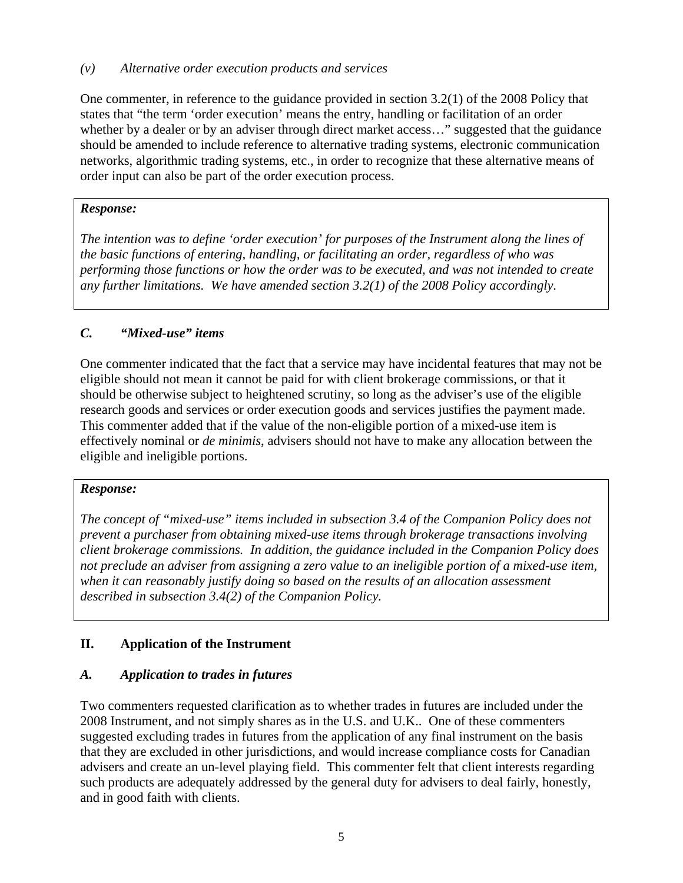#### *(v) Alternative order execution products and services*

One commenter, in reference to the guidance provided in section 3.2(1) of the 2008 Policy that states that "the term 'order execution' means the entry, handling or facilitation of an order whether by a dealer or by an adviser through direct market access..." suggested that the guidance should be amended to include reference to alternative trading systems, electronic communication networks, algorithmic trading systems, etc., in order to recognize that these alternative means of order input can also be part of the order execution process.

#### *Response:*

*The intention was to define 'order execution' for purposes of the Instrument along the lines of the basic functions of entering, handling, or facilitating an order, regardless of who was performing those functions or how the order was to be executed, and was not intended to create any further limitations. We have amended section 3.2(1) of the 2008 Policy accordingly.* 

## *C. "Mixed-use" items*

One commenter indicated that the fact that a service may have incidental features that may not be eligible should not mean it cannot be paid for with client brokerage commissions, or that it should be otherwise subject to heightened scrutiny, so long as the adviser's use of the eligible research goods and services or order execution goods and services justifies the payment made. This commenter added that if the value of the non-eligible portion of a mixed-use item is effectively nominal or *de minimis*, advisers should not have to make any allocation between the eligible and ineligible portions.

#### *Response:*

*The concept of "mixed-use" items included in subsection 3.4 of the Companion Policy does not prevent a purchaser from obtaining mixed-use items through brokerage transactions involving client brokerage commissions. In addition, the guidance included in the Companion Policy does not preclude an adviser from assigning a zero value to an ineligible portion of a mixed-use item, when it can reasonably justify doing so based on the results of an allocation assessment described in subsection 3.4(2) of the Companion Policy.* 

### **II. Application of the Instrument**

### *A. Application to trades in futures*

Two commenters requested clarification as to whether trades in futures are included under the 2008 Instrument, and not simply shares as in the U.S. and U.K.. One of these commenters suggested excluding trades in futures from the application of any final instrument on the basis that they are excluded in other jurisdictions, and would increase compliance costs for Canadian advisers and create an un-level playing field. This commenter felt that client interests regarding such products are adequately addressed by the general duty for advisers to deal fairly, honestly, and in good faith with clients.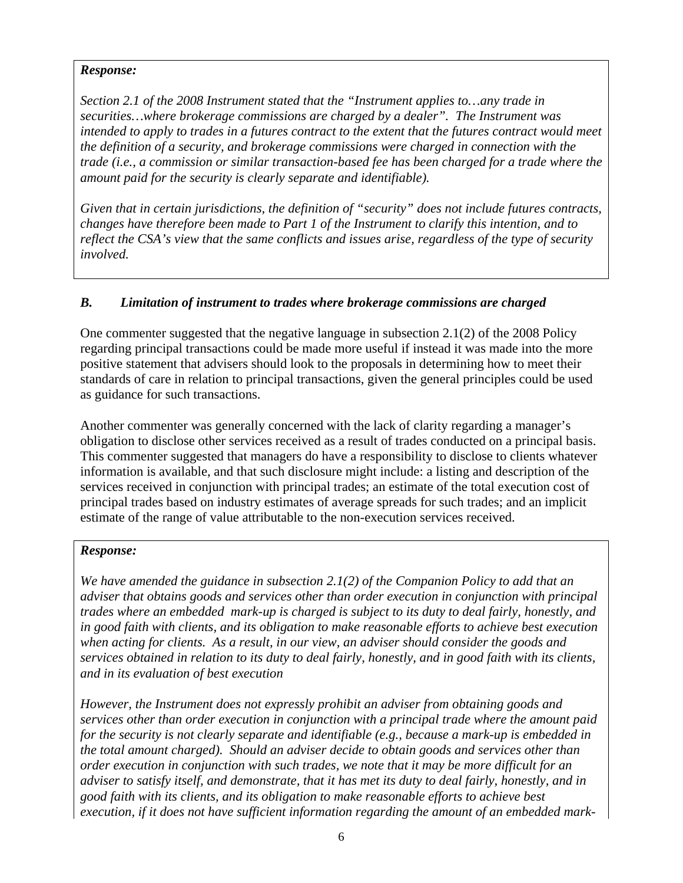*Section 2.1 of the 2008 Instrument stated that the "Instrument applies to…any trade in securities…where brokerage commissions are charged by a dealer". The Instrument was intended to apply to trades in a futures contract to the extent that the futures contract would meet the definition of a security, and brokerage commissions were charged in connection with the trade (i.e., a commission or similar transaction-based fee has been charged for a trade where the amount paid for the security is clearly separate and identifiable).* 

*Given that in certain jurisdictions, the definition of "security" does not include futures contracts, changes have therefore been made to Part 1 of the Instrument to clarify this intention, and to reflect the CSA's view that the same conflicts and issues arise, regardless of the type of security involved.* 

### *B. Limitation of instrument to trades where brokerage commissions are charged*

One commenter suggested that the negative language in subsection 2.1(2) of the 2008 Policy regarding principal transactions could be made more useful if instead it was made into the more positive statement that advisers should look to the proposals in determining how to meet their standards of care in relation to principal transactions, given the general principles could be used as guidance for such transactions.

Another commenter was generally concerned with the lack of clarity regarding a manager's obligation to disclose other services received as a result of trades conducted on a principal basis. This commenter suggested that managers do have a responsibility to disclose to clients whatever information is available, and that such disclosure might include: a listing and description of the services received in conjunction with principal trades; an estimate of the total execution cost of principal trades based on industry estimates of average spreads for such trades; and an implicit estimate of the range of value attributable to the non-execution services received.

### *Response:*

*We have amended the guidance in subsection 2.1(2) of the Companion Policy to add that an adviser that obtains goods and services other than order execution in conjunction with principal trades where an embedded mark-up is charged is subject to its duty to deal fairly, honestly, and in good faith with clients, and its obligation to make reasonable efforts to achieve best execution when acting for clients. As a result, in our view, an adviser should consider the goods and services obtained in relation to its duty to deal fairly, honestly, and in good faith with its clients, and in its evaluation of best execution* 

*However, the Instrument does not expressly prohibit an adviser from obtaining goods and services other than order execution in conjunction with a principal trade where the amount paid for the security is not clearly separate and identifiable (e.g., because a mark-up is embedded in the total amount charged). Should an adviser decide to obtain goods and services other than order execution in conjunction with such trades, we note that it may be more difficult for an adviser to satisfy itself, and demonstrate, that it has met its duty to deal fairly, honestly, and in good faith with its clients, and its obligation to make reasonable efforts to achieve best execution, if it does not have sufficient information regarding the amount of an embedded mark-*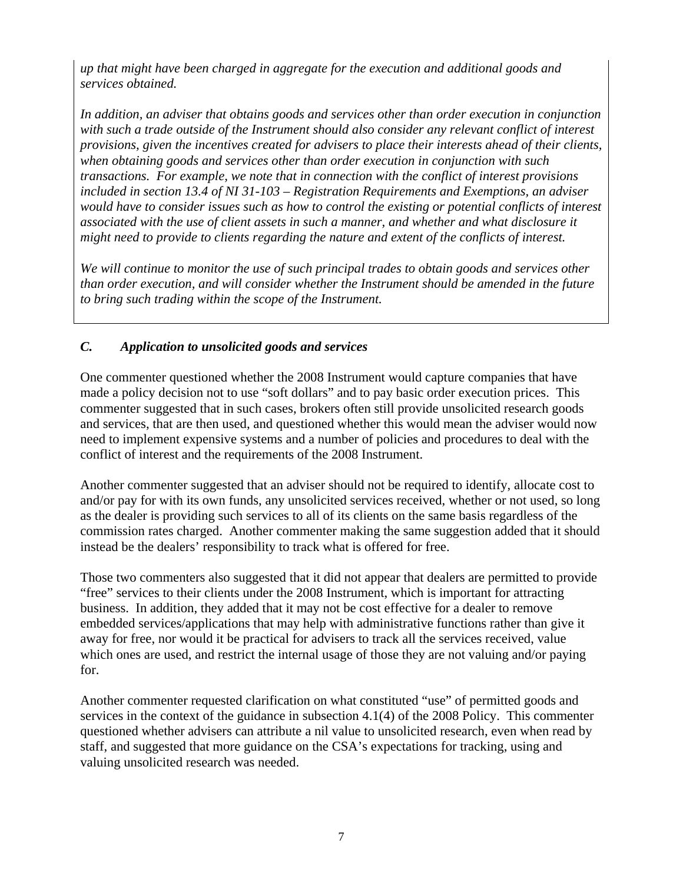*up that might have been charged in aggregate for the execution and additional goods and services obtained.* 

*In addition, an adviser that obtains goods and services other than order execution in conjunction with such a trade outside of the Instrument should also consider any relevant conflict of interest provisions, given the incentives created for advisers to place their interests ahead of their clients, when obtaining goods and services other than order execution in conjunction with such transactions. For example, we note that in connection with the conflict of interest provisions included in section 13.4 of NI 31-103 – Registration Requirements and Exemptions, an adviser would have to consider issues such as how to control the existing or potential conflicts of interest associated with the use of client assets in such a manner, and whether and what disclosure it might need to provide to clients regarding the nature and extent of the conflicts of interest.* 

*We will continue to monitor the use of such principal trades to obtain goods and services other than order execution, and will consider whether the Instrument should be amended in the future to bring such trading within the scope of the Instrument.* 

# *C. Application to unsolicited goods and services*

One commenter questioned whether the 2008 Instrument would capture companies that have made a policy decision not to use "soft dollars" and to pay basic order execution prices. This commenter suggested that in such cases, brokers often still provide unsolicited research goods and services, that are then used, and questioned whether this would mean the adviser would now need to implement expensive systems and a number of policies and procedures to deal with the conflict of interest and the requirements of the 2008 Instrument.

Another commenter suggested that an adviser should not be required to identify, allocate cost to and/or pay for with its own funds, any unsolicited services received, whether or not used, so long as the dealer is providing such services to all of its clients on the same basis regardless of the commission rates charged. Another commenter making the same suggestion added that it should instead be the dealers' responsibility to track what is offered for free.

Those two commenters also suggested that it did not appear that dealers are permitted to provide "free" services to their clients under the 2008 Instrument, which is important for attracting business. In addition, they added that it may not be cost effective for a dealer to remove embedded services/applications that may help with administrative functions rather than give it away for free, nor would it be practical for advisers to track all the services received, value which ones are used, and restrict the internal usage of those they are not valuing and/or paying for.

Another commenter requested clarification on what constituted "use" of permitted goods and services in the context of the guidance in subsection 4.1(4) of the 2008 Policy. This commenter questioned whether advisers can attribute a nil value to unsolicited research, even when read by staff, and suggested that more guidance on the CSA's expectations for tracking, using and valuing unsolicited research was needed.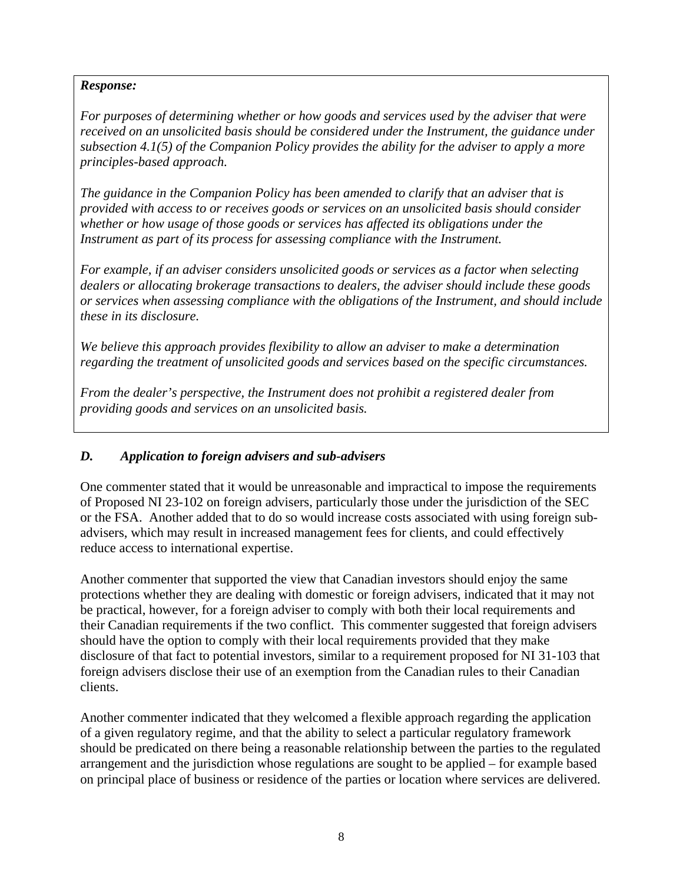*For purposes of determining whether or how goods and services used by the adviser that were received on an unsolicited basis should be considered under the Instrument, the guidance under subsection 4.1(5) of the Companion Policy provides the ability for the adviser to apply a more principles-based approach.* 

*The guidance in the Companion Policy has been amended to clarify that an adviser that is provided with access to or receives goods or services on an unsolicited basis should consider whether or how usage of those goods or services has affected its obligations under the Instrument as part of its process for assessing compliance with the Instrument.* 

*For example, if an adviser considers unsolicited goods or services as a factor when selecting dealers or allocating brokerage transactions to dealers, the adviser should include these goods or services when assessing compliance with the obligations of the Instrument, and should include these in its disclosure.* 

*We believe this approach provides flexibility to allow an adviser to make a determination regarding the treatment of unsolicited goods and services based on the specific circumstances.* 

*From the dealer's perspective, the Instrument does not prohibit a registered dealer from providing goods and services on an unsolicited basis.* 

### *D. Application to foreign advisers and sub-advisers*

One commenter stated that it would be unreasonable and impractical to impose the requirements of Proposed NI 23-102 on foreign advisers, particularly those under the jurisdiction of the SEC or the FSA. Another added that to do so would increase costs associated with using foreign subadvisers, which may result in increased management fees for clients, and could effectively reduce access to international expertise.

Another commenter that supported the view that Canadian investors should enjoy the same protections whether they are dealing with domestic or foreign advisers, indicated that it may not be practical, however, for a foreign adviser to comply with both their local requirements and their Canadian requirements if the two conflict. This commenter suggested that foreign advisers should have the option to comply with their local requirements provided that they make disclosure of that fact to potential investors, similar to a requirement proposed for NI 31-103 that foreign advisers disclose their use of an exemption from the Canadian rules to their Canadian clients.

Another commenter indicated that they welcomed a flexible approach regarding the application of a given regulatory regime, and that the ability to select a particular regulatory framework should be predicated on there being a reasonable relationship between the parties to the regulated arrangement and the jurisdiction whose regulations are sought to be applied – for example based on principal place of business or residence of the parties or location where services are delivered.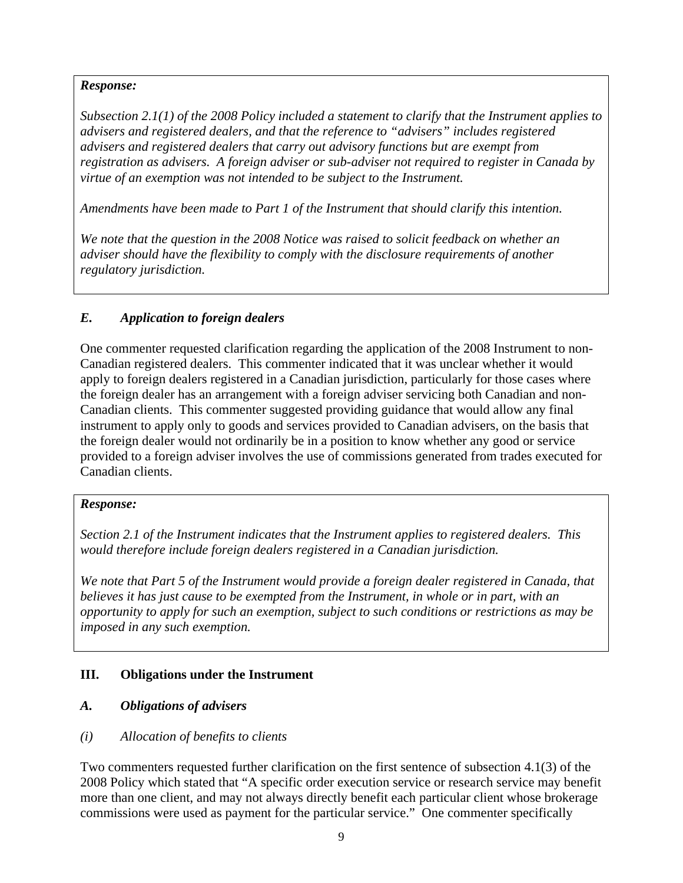*Subsection 2.1(1) of the 2008 Policy included a statement to clarify that the Instrument applies to advisers and registered dealers, and that the reference to "advisers" includes registered advisers and registered dealers that carry out advisory functions but are exempt from registration as advisers. A foreign adviser or sub-adviser not required to register in Canada by virtue of an exemption was not intended to be subject to the Instrument.* 

*Amendments have been made to Part 1 of the Instrument that should clarify this intention.* 

*We note that the question in the 2008 Notice was raised to solicit feedback on whether an adviser should have the flexibility to comply with the disclosure requirements of another regulatory jurisdiction.* 

# *E. Application to foreign dealers*

One commenter requested clarification regarding the application of the 2008 Instrument to non-Canadian registered dealers. This commenter indicated that it was unclear whether it would apply to foreign dealers registered in a Canadian jurisdiction, particularly for those cases where the foreign dealer has an arrangement with a foreign adviser servicing both Canadian and non-Canadian clients. This commenter suggested providing guidance that would allow any final instrument to apply only to goods and services provided to Canadian advisers, on the basis that the foreign dealer would not ordinarily be in a position to know whether any good or service provided to a foreign adviser involves the use of commissions generated from trades executed for Canadian clients.

### *Response:*

*Section 2.1 of the Instrument indicates that the Instrument applies to registered dealers. This would therefore include foreign dealers registered in a Canadian jurisdiction.* 

*We note that Part 5 of the Instrument would provide a foreign dealer registered in Canada, that believes it has just cause to be exempted from the Instrument, in whole or in part, with an opportunity to apply for such an exemption, subject to such conditions or restrictions as may be imposed in any such exemption.* 

### **III. Obligations under the Instrument**

### *A. Obligations of advisers*

### *(i) Allocation of benefits to clients*

Two commenters requested further clarification on the first sentence of subsection 4.1(3) of the 2008 Policy which stated that "A specific order execution service or research service may benefit more than one client, and may not always directly benefit each particular client whose brokerage commissions were used as payment for the particular service." One commenter specifically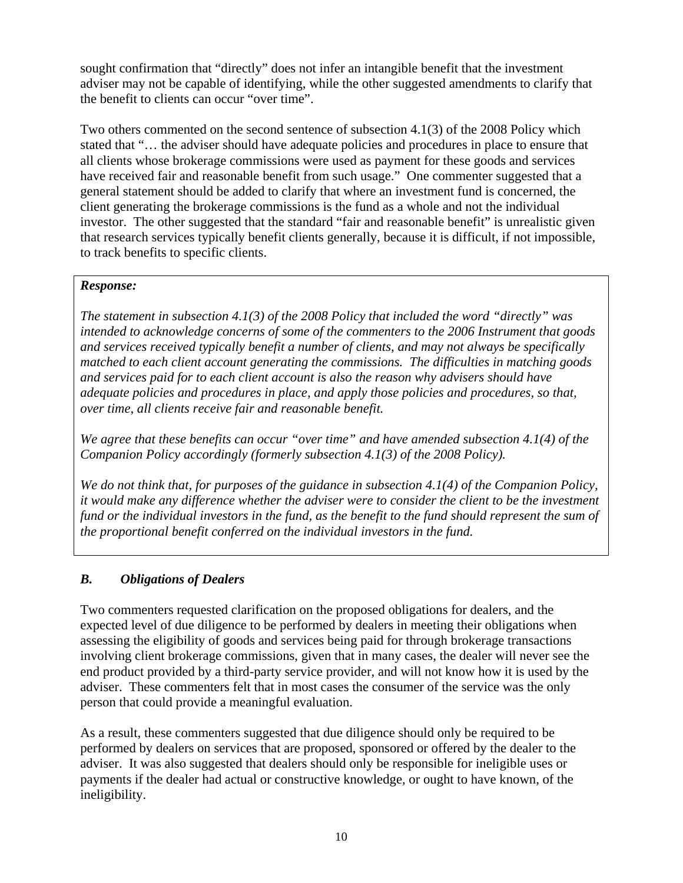sought confirmation that "directly" does not infer an intangible benefit that the investment adviser may not be capable of identifying, while the other suggested amendments to clarify that the benefit to clients can occur "over time".

Two others commented on the second sentence of subsection 4.1(3) of the 2008 Policy which stated that "… the adviser should have adequate policies and procedures in place to ensure that all clients whose brokerage commissions were used as payment for these goods and services have received fair and reasonable benefit from such usage." One commenter suggested that a general statement should be added to clarify that where an investment fund is concerned, the client generating the brokerage commissions is the fund as a whole and not the individual investor. The other suggested that the standard "fair and reasonable benefit" is unrealistic given that research services typically benefit clients generally, because it is difficult, if not impossible, to track benefits to specific clients.

### *Response:*

*The statement in subsection 4.1(3) of the 2008 Policy that included the word "directly" was intended to acknowledge concerns of some of the commenters to the 2006 Instrument that goods and services received typically benefit a number of clients, and may not always be specifically matched to each client account generating the commissions. The difficulties in matching goods and services paid for to each client account is also the reason why advisers should have adequate policies and procedures in place, and apply those policies and procedures, so that, over time, all clients receive fair and reasonable benefit.* 

*We agree that these benefits can occur "over time" and have amended subsection 4.1(4) of the Companion Policy accordingly (formerly subsection 4.1(3) of the 2008 Policy).* 

*We do not think that, for purposes of the guidance in subsection 4.1(4) of the Companion Policy, it would make any difference whether the adviser were to consider the client to be the investment fund or the individual investors in the fund, as the benefit to the fund should represent the sum of the proportional benefit conferred on the individual investors in the fund.* 

# *B. Obligations of Dealers*

Two commenters requested clarification on the proposed obligations for dealers, and the expected level of due diligence to be performed by dealers in meeting their obligations when assessing the eligibility of goods and services being paid for through brokerage transactions involving client brokerage commissions, given that in many cases, the dealer will never see the end product provided by a third-party service provider, and will not know how it is used by the adviser. These commenters felt that in most cases the consumer of the service was the only person that could provide a meaningful evaluation.

As a result, these commenters suggested that due diligence should only be required to be performed by dealers on services that are proposed, sponsored or offered by the dealer to the adviser. It was also suggested that dealers should only be responsible for ineligible uses or payments if the dealer had actual or constructive knowledge, or ought to have known, of the ineligibility.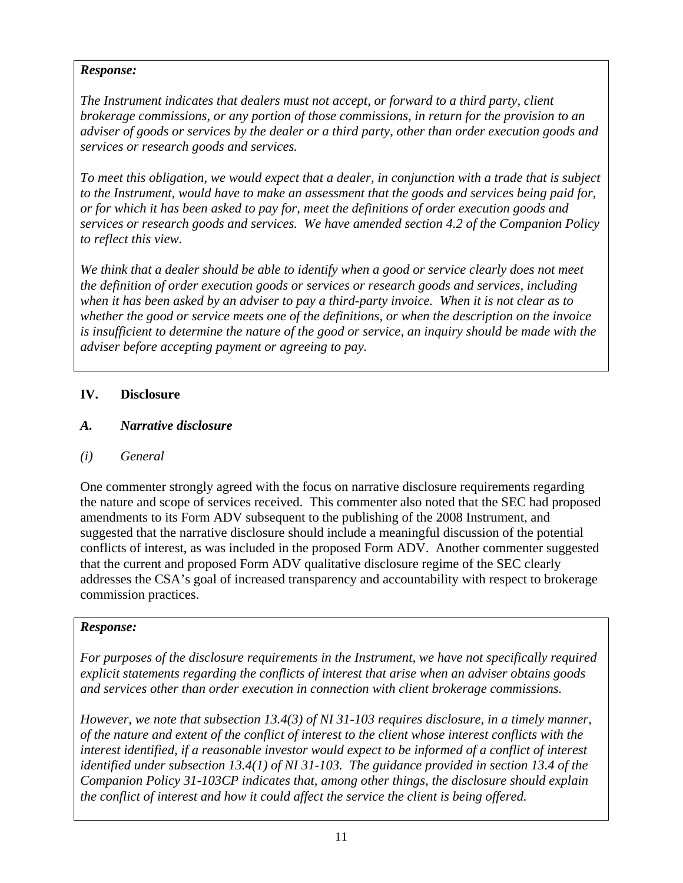*The Instrument indicates that dealers must not accept, or forward to a third party, client brokerage commissions, or any portion of those commissions, in return for the provision to an adviser of goods or services by the dealer or a third party, other than order execution goods and services or research goods and services.* 

*To meet this obligation, we would expect that a dealer, in conjunction with a trade that is subject to the Instrument, would have to make an assessment that the goods and services being paid for, or for which it has been asked to pay for, meet the definitions of order execution goods and services or research goods and services. We have amended section 4.2 of the Companion Policy to reflect this view.* 

*We think that a dealer should be able to identify when a good or service clearly does not meet the definition of order execution goods or services or research goods and services, including when it has been asked by an adviser to pay a third-party invoice. When it is not clear as to whether the good or service meets one of the definitions, or when the description on the invoice is insufficient to determine the nature of the good or service, an inquiry should be made with the adviser before accepting payment or agreeing to pay.* 

# **IV. Disclosure**

## *A. Narrative disclosure*

*(i) General* 

One commenter strongly agreed with the focus on narrative disclosure requirements regarding the nature and scope of services received. This commenter also noted that the SEC had proposed amendments to its Form ADV subsequent to the publishing of the 2008 Instrument, and suggested that the narrative disclosure should include a meaningful discussion of the potential conflicts of interest, as was included in the proposed Form ADV. Another commenter suggested that the current and proposed Form ADV qualitative disclosure regime of the SEC clearly addresses the CSA's goal of increased transparency and accountability with respect to brokerage commission practices.

### *Response:*

*For purposes of the disclosure requirements in the Instrument, we have not specifically required explicit statements regarding the conflicts of interest that arise when an adviser obtains goods and services other than order execution in connection with client brokerage commissions.* 

*However, we note that subsection 13.4(3) of NI 31-103 requires disclosure, in a timely manner, of the nature and extent of the conflict of interest to the client whose interest conflicts with the interest identified, if a reasonable investor would expect to be informed of a conflict of interest identified under subsection 13.4(1) of NI 31-103. The guidance provided in section 13.4 of the Companion Policy 31-103CP indicates that, among other things, the disclosure should explain the conflict of interest and how it could affect the service the client is being offered.*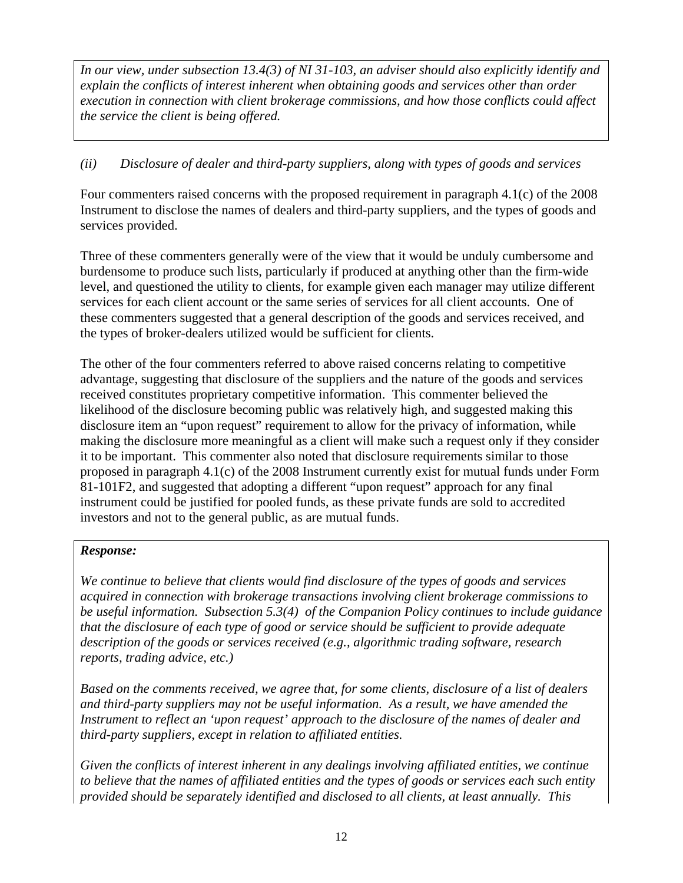*In our view, under subsection 13.4(3) of NI 31-103, an adviser should also explicitly identify and explain the conflicts of interest inherent when obtaining goods and services other than order execution in connection with client brokerage commissions, and how those conflicts could affect the service the client is being offered.* 

## *(ii) Disclosure of dealer and third-party suppliers, along with types of goods and services*

Four commenters raised concerns with the proposed requirement in paragraph 4.1(c) of the 2008 Instrument to disclose the names of dealers and third-party suppliers, and the types of goods and services provided.

Three of these commenters generally were of the view that it would be unduly cumbersome and burdensome to produce such lists, particularly if produced at anything other than the firm-wide level, and questioned the utility to clients, for example given each manager may utilize different services for each client account or the same series of services for all client accounts. One of these commenters suggested that a general description of the goods and services received, and the types of broker-dealers utilized would be sufficient for clients.

The other of the four commenters referred to above raised concerns relating to competitive advantage, suggesting that disclosure of the suppliers and the nature of the goods and services received constitutes proprietary competitive information. This commenter believed the likelihood of the disclosure becoming public was relatively high, and suggested making this disclosure item an "upon request" requirement to allow for the privacy of information, while making the disclosure more meaningful as a client will make such a request only if they consider it to be important. This commenter also noted that disclosure requirements similar to those proposed in paragraph 4.1(c) of the 2008 Instrument currently exist for mutual funds under Form 81-101F2, and suggested that adopting a different "upon request" approach for any final instrument could be justified for pooled funds, as these private funds are sold to accredited investors and not to the general public, as are mutual funds.

### *Response:*

*We continue to believe that clients would find disclosure of the types of goods and services acquired in connection with brokerage transactions involving client brokerage commissions to be useful information. Subsection 5.3(4) of the Companion Policy continues to include guidance that the disclosure of each type of good or service should be sufficient to provide adequate description of the goods or services received (e.g., algorithmic trading software, research reports, trading advice, etc.)* 

*Based on the comments received, we agree that, for some clients, disclosure of a list of dealers and third-party suppliers may not be useful information. As a result, we have amended the Instrument to reflect an 'upon request' approach to the disclosure of the names of dealer and third-party suppliers, except in relation to affiliated entities.* 

*Given the conflicts of interest inherent in any dealings involving affiliated entities, we continue to believe that the names of affiliated entities and the types of goods or services each such entity provided should be separately identified and disclosed to all clients, at least annually. This*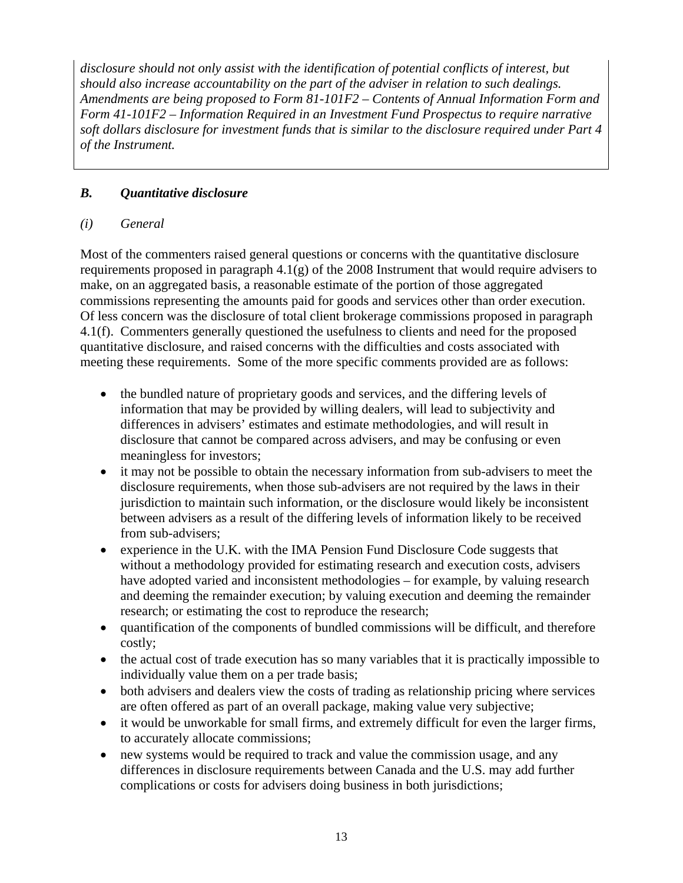*disclosure should not only assist with the identification of potential conflicts of interest, but should also increase accountability on the part of the adviser in relation to such dealings. Amendments are being proposed to Form 81-101F2 – Contents of Annual Information Form and Form 41-101F2 – Information Required in an Investment Fund Prospectus to require narrative soft dollars disclosure for investment funds that is similar to the disclosure required under Part 4 of the Instrument.* 

# *B. Quantitative disclosure*

# *(i) General*

Most of the commenters raised general questions or concerns with the quantitative disclosure requirements proposed in paragraph 4.1(g) of the 2008 Instrument that would require advisers to make, on an aggregated basis, a reasonable estimate of the portion of those aggregated commissions representing the amounts paid for goods and services other than order execution. Of less concern was the disclosure of total client brokerage commissions proposed in paragraph 4.1(f). Commenters generally questioned the usefulness to clients and need for the proposed quantitative disclosure, and raised concerns with the difficulties and costs associated with meeting these requirements. Some of the more specific comments provided are as follows:

- the bundled nature of proprietary goods and services, and the differing levels of information that may be provided by willing dealers, will lead to subjectivity and differences in advisers' estimates and estimate methodologies, and will result in disclosure that cannot be compared across advisers, and may be confusing or even meaningless for investors;
- it may not be possible to obtain the necessary information from sub-advisers to meet the disclosure requirements, when those sub-advisers are not required by the laws in their jurisdiction to maintain such information, or the disclosure would likely be inconsistent between advisers as a result of the differing levels of information likely to be received from sub-advisers;
- experience in the U.K. with the IMA Pension Fund Disclosure Code suggests that without a methodology provided for estimating research and execution costs, advisers have adopted varied and inconsistent methodologies – for example, by valuing research and deeming the remainder execution; by valuing execution and deeming the remainder research; or estimating the cost to reproduce the research;
- quantification of the components of bundled commissions will be difficult, and therefore costly;
- the actual cost of trade execution has so many variables that it is practically impossible to individually value them on a per trade basis;
- both advisers and dealers view the costs of trading as relationship pricing where services are often offered as part of an overall package, making value very subjective;
- it would be unworkable for small firms, and extremely difficult for even the larger firms, to accurately allocate commissions;
- new systems would be required to track and value the commission usage, and any differences in disclosure requirements between Canada and the U.S. may add further complications or costs for advisers doing business in both jurisdictions;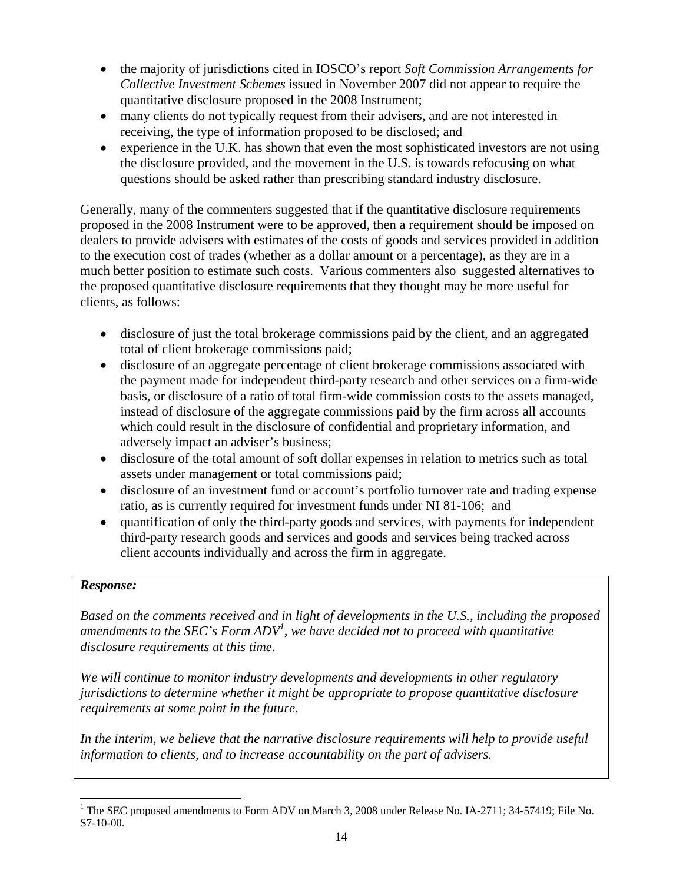- the majority of jurisdictions cited in IOSCO's report *Soft Commission Arrangements for Collective Investment Schemes* issued in November 2007 did not appear to require the quantitative disclosure proposed in the 2008 Instrument;
- many clients do not typically request from their advisers, and are not interested in receiving, the type of information proposed to be disclosed; and
- experience in the U.K. has shown that even the most sophisticated investors are not using the disclosure provided, and the movement in the U.S. is towards refocusing on what questions should be asked rather than prescribing standard industry disclosure.

Generally, many of the commenters suggested that if the quantitative disclosure requirements proposed in the 2008 Instrument were to be approved, then a requirement should be imposed on dealers to provide advisers with estimates of the costs of goods and services provided in addition to the execution cost of trades (whether as a dollar amount or a percentage), as they are in a much better position to estimate such costs. Various commenters also suggested alternatives to the proposed quantitative disclosure requirements that they thought may be more useful for clients, as follows:

- disclosure of just the total brokerage commissions paid by the client, and an aggregated total of client brokerage commissions paid;
- disclosure of an aggregate percentage of client brokerage commissions associated with the payment made for independent third-party research and other services on a firm-wide basis, or disclosure of a ratio of total firm-wide commission costs to the assets managed, instead of disclosure of the aggregate commissions paid by the firm across all accounts which could result in the disclosure of confidential and proprietary information, and adversely impact an adviser's business;
- disclosure of the total amount of soft dollar expenses in relation to metrics such as total assets under management or total commissions paid;
- disclosure of an investment fund or account's portfolio turnover rate and trading expense ratio, as is currently required for investment funds under NI 81-106; and
- quantification of only the third-party goods and services, with payments for independent third-party research goods and services and goods and services being tracked across client accounts individually and across the firm in aggregate.

### *Response:*

l

*Based on the comments received and in light of developments in the U.S., including the proposed amendments to the SEC's Form ADV<sup>1</sup> , we have decided not to proceed with quantitative disclosure requirements at this time.* 

*We will continue to monitor industry developments and developments in other regulatory jurisdictions to determine whether it might be appropriate to propose quantitative disclosure requirements at some point in the future.* 

In the interim, we believe that the narrative disclosure requirements will help to provide useful *information to clients, and to increase accountability on the part of advisers.* 

<sup>&</sup>lt;sup>1</sup> The SEC proposed amendments to Form ADV on March 3, 2008 under Release No. IA-2711; 34-57419; File No. S7-10-00.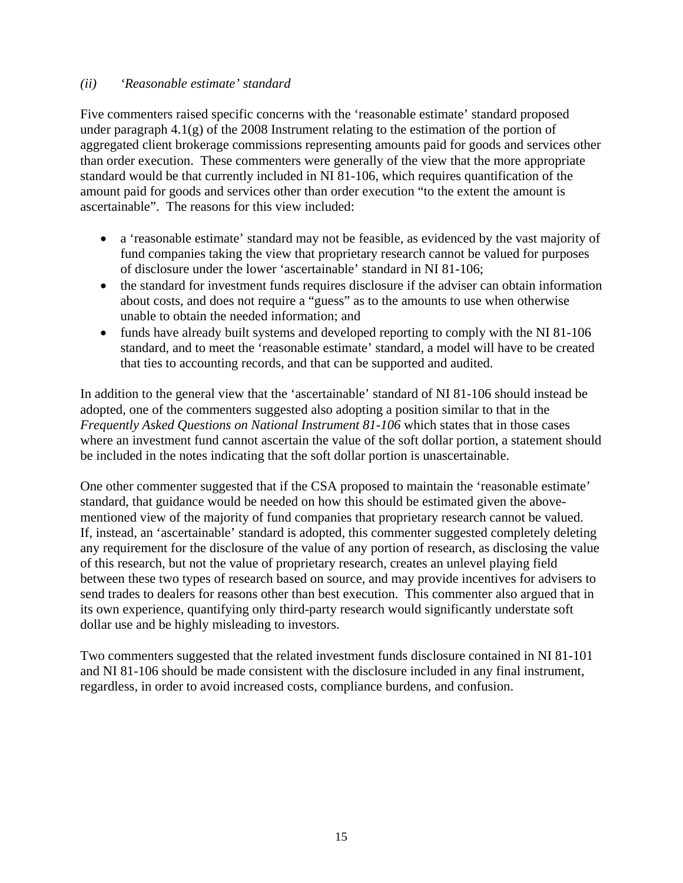#### *(ii) 'Reasonable estimate' standard*

Five commenters raised specific concerns with the 'reasonable estimate' standard proposed under paragraph 4.1(g) of the 2008 Instrument relating to the estimation of the portion of aggregated client brokerage commissions representing amounts paid for goods and services other than order execution. These commenters were generally of the view that the more appropriate standard would be that currently included in NI 81-106, which requires quantification of the amount paid for goods and services other than order execution "to the extent the amount is ascertainable". The reasons for this view included:

- a 'reasonable estimate' standard may not be feasible, as evidenced by the vast majority of fund companies taking the view that proprietary research cannot be valued for purposes of disclosure under the lower 'ascertainable' standard in NI 81-106;
- the standard for investment funds requires disclosure if the adviser can obtain information about costs, and does not require a "guess" as to the amounts to use when otherwise unable to obtain the needed information; and
- funds have already built systems and developed reporting to comply with the NI 81-106 standard, and to meet the 'reasonable estimate' standard, a model will have to be created that ties to accounting records, and that can be supported and audited.

In addition to the general view that the 'ascertainable' standard of NI 81-106 should instead be adopted, one of the commenters suggested also adopting a position similar to that in the *Frequently Asked Questions on National Instrument 81-106* which states that in those cases where an investment fund cannot ascertain the value of the soft dollar portion, a statement should be included in the notes indicating that the soft dollar portion is unascertainable.

One other commenter suggested that if the CSA proposed to maintain the 'reasonable estimate' standard, that guidance would be needed on how this should be estimated given the abovementioned view of the majority of fund companies that proprietary research cannot be valued. If, instead, an 'ascertainable' standard is adopted, this commenter suggested completely deleting any requirement for the disclosure of the value of any portion of research, as disclosing the value of this research, but not the value of proprietary research, creates an unlevel playing field between these two types of research based on source, and may provide incentives for advisers to send trades to dealers for reasons other than best execution. This commenter also argued that in its own experience, quantifying only third-party research would significantly understate soft dollar use and be highly misleading to investors.

Two commenters suggested that the related investment funds disclosure contained in NI 81-101 and NI 81-106 should be made consistent with the disclosure included in any final instrument, regardless, in order to avoid increased costs, compliance burdens, and confusion.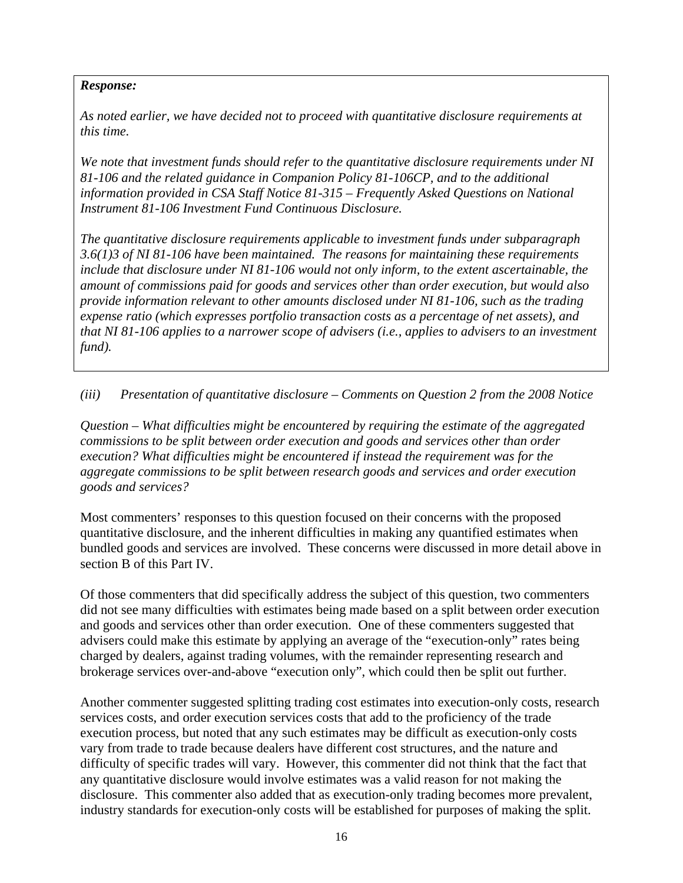*As noted earlier, we have decided not to proceed with quantitative disclosure requirements at this time.* 

*We note that investment funds should refer to the quantitative disclosure requirements under NI 81-106 and the related guidance in Companion Policy 81-106CP, and to the additional information provided in CSA Staff Notice 81-315 – Frequently Asked Questions on National Instrument 81-106 Investment Fund Continuous Disclosure.* 

*The quantitative disclosure requirements applicable to investment funds under subparagraph 3.6(1)3 of NI 81-106 have been maintained. The reasons for maintaining these requirements include that disclosure under NI 81-106 would not only inform, to the extent ascertainable, the amount of commissions paid for goods and services other than order execution, but would also provide information relevant to other amounts disclosed under NI 81-106, such as the trading expense ratio (which expresses portfolio transaction costs as a percentage of net assets), and that NI 81-106 applies to a narrower scope of advisers (i.e., applies to advisers to an investment fund).* 

*(iii) Presentation of quantitative disclosure – Comments on Question 2 from the 2008 Notice* 

*Question – What difficulties might be encountered by requiring the estimate of the aggregated commissions to be split between order execution and goods and services other than order execution? What difficulties might be encountered if instead the requirement was for the aggregate commissions to be split between research goods and services and order execution goods and services?* 

Most commenters' responses to this question focused on their concerns with the proposed quantitative disclosure, and the inherent difficulties in making any quantified estimates when bundled goods and services are involved. These concerns were discussed in more detail above in section B of this Part IV.

Of those commenters that did specifically address the subject of this question, two commenters did not see many difficulties with estimates being made based on a split between order execution and goods and services other than order execution. One of these commenters suggested that advisers could make this estimate by applying an average of the "execution-only" rates being charged by dealers, against trading volumes, with the remainder representing research and brokerage services over-and-above "execution only", which could then be split out further.

Another commenter suggested splitting trading cost estimates into execution-only costs, research services costs, and order execution services costs that add to the proficiency of the trade execution process, but noted that any such estimates may be difficult as execution-only costs vary from trade to trade because dealers have different cost structures, and the nature and difficulty of specific trades will vary. However, this commenter did not think that the fact that any quantitative disclosure would involve estimates was a valid reason for not making the disclosure. This commenter also added that as execution-only trading becomes more prevalent, industry standards for execution-only costs will be established for purposes of making the split.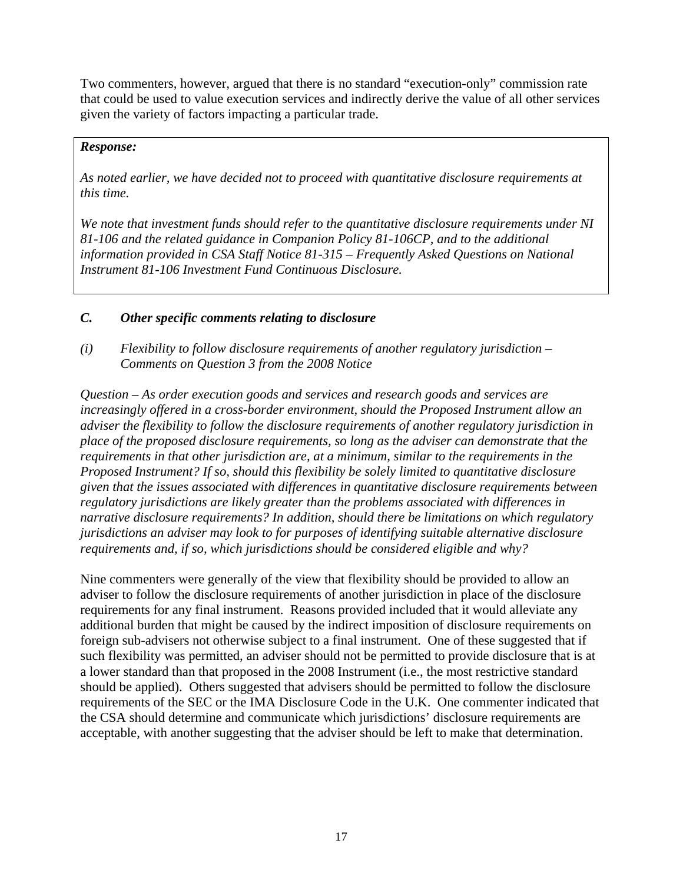Two commenters, however, argued that there is no standard "execution-only" commission rate that could be used to value execution services and indirectly derive the value of all other services given the variety of factors impacting a particular trade.

#### *Response:*

*As noted earlier, we have decided not to proceed with quantitative disclosure requirements at this time.* 

*We note that investment funds should refer to the quantitative disclosure requirements under NI 81-106 and the related guidance in Companion Policy 81-106CP, and to the additional information provided in CSA Staff Notice 81-315 – Frequently Asked Questions on National Instrument 81-106 Investment Fund Continuous Disclosure.*

#### *C. Other specific comments relating to disclosure*

*(i) Flexibility to follow disclosure requirements of another regulatory jurisdiction – Comments on Question 3 from the 2008 Notice* 

*Question – As order execution goods and services and research goods and services are increasingly offered in a cross-border environment, should the Proposed Instrument allow an adviser the flexibility to follow the disclosure requirements of another regulatory jurisdiction in place of the proposed disclosure requirements, so long as the adviser can demonstrate that the requirements in that other jurisdiction are, at a minimum, similar to the requirements in the Proposed Instrument? If so, should this flexibility be solely limited to quantitative disclosure given that the issues associated with differences in quantitative disclosure requirements between regulatory jurisdictions are likely greater than the problems associated with differences in narrative disclosure requirements? In addition, should there be limitations on which regulatory jurisdictions an adviser may look to for purposes of identifying suitable alternative disclosure requirements and, if so, which jurisdictions should be considered eligible and why?* 

Nine commenters were generally of the view that flexibility should be provided to allow an adviser to follow the disclosure requirements of another jurisdiction in place of the disclosure requirements for any final instrument. Reasons provided included that it would alleviate any additional burden that might be caused by the indirect imposition of disclosure requirements on foreign sub-advisers not otherwise subject to a final instrument. One of these suggested that if such flexibility was permitted, an adviser should not be permitted to provide disclosure that is at a lower standard than that proposed in the 2008 Instrument (i.e., the most restrictive standard should be applied). Others suggested that advisers should be permitted to follow the disclosure requirements of the SEC or the IMA Disclosure Code in the U.K. One commenter indicated that the CSA should determine and communicate which jurisdictions' disclosure requirements are acceptable, with another suggesting that the adviser should be left to make that determination.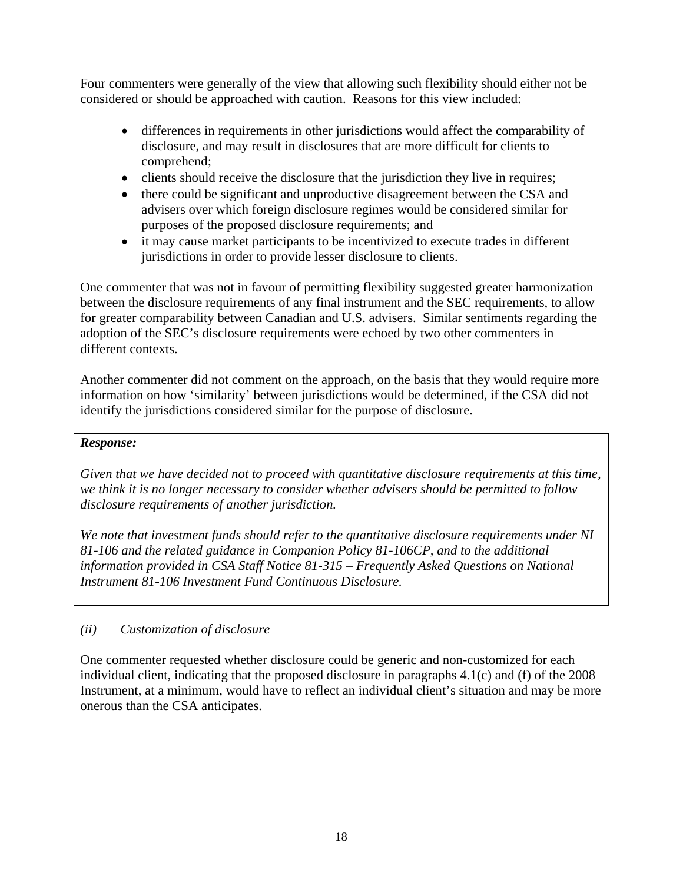Four commenters were generally of the view that allowing such flexibility should either not be considered or should be approached with caution. Reasons for this view included:

- differences in requirements in other jurisdictions would affect the comparability of disclosure, and may result in disclosures that are more difficult for clients to comprehend;
- clients should receive the disclosure that the jurisdiction they live in requires;
- there could be significant and unproductive disagreement between the CSA and advisers over which foreign disclosure regimes would be considered similar for purposes of the proposed disclosure requirements; and
- it may cause market participants to be incentivized to execute trades in different jurisdictions in order to provide lesser disclosure to clients.

One commenter that was not in favour of permitting flexibility suggested greater harmonization between the disclosure requirements of any final instrument and the SEC requirements, to allow for greater comparability between Canadian and U.S. advisers. Similar sentiments regarding the adoption of the SEC's disclosure requirements were echoed by two other commenters in different contexts.

Another commenter did not comment on the approach, on the basis that they would require more information on how 'similarity' between jurisdictions would be determined, if the CSA did not identify the jurisdictions considered similar for the purpose of disclosure.

### *Response:*

*Given that we have decided not to proceed with quantitative disclosure requirements at this time, we think it is no longer necessary to consider whether advisers should be permitted to follow disclosure requirements of another jurisdiction.* 

*We note that investment funds should refer to the quantitative disclosure requirements under NI 81-106 and the related guidance in Companion Policy 81-106CP, and to the additional information provided in CSA Staff Notice 81-315 – Frequently Asked Questions on National Instrument 81-106 Investment Fund Continuous Disclosure.*

# *(ii) Customization of disclosure*

One commenter requested whether disclosure could be generic and non-customized for each individual client, indicating that the proposed disclosure in paragraphs 4.1(c) and (f) of the 2008 Instrument, at a minimum, would have to reflect an individual client's situation and may be more onerous than the CSA anticipates.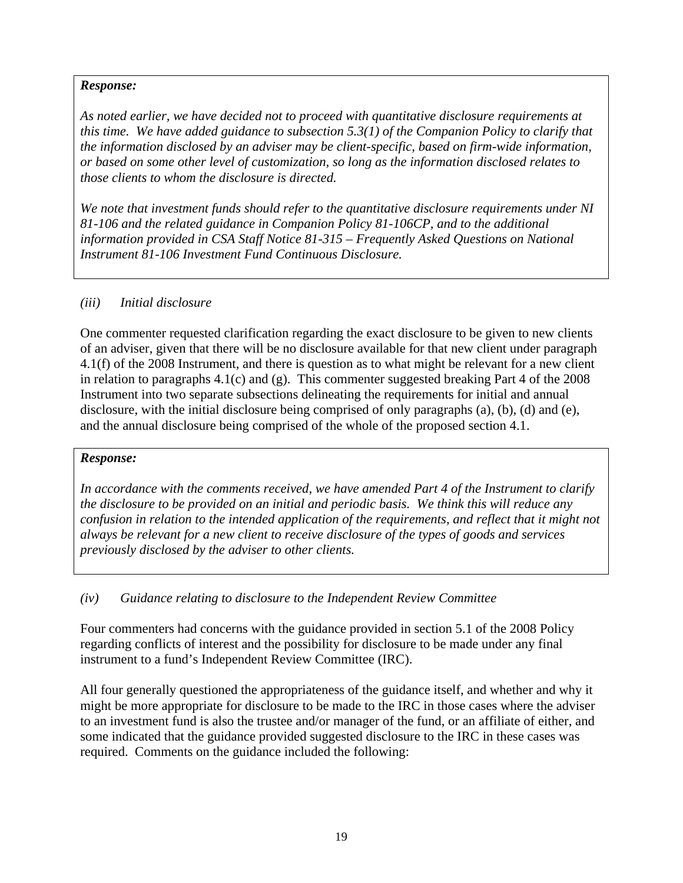*As noted earlier, we have decided not to proceed with quantitative disclosure requirements at this time. We have added guidance to subsection 5.3(1) of the Companion Policy to clarify that the information disclosed by an adviser may be client-specific, based on firm-wide information, or based on some other level of customization, so long as the information disclosed relates to those clients to whom the disclosure is directed.* 

*We note that investment funds should refer to the quantitative disclosure requirements under NI 81-106 and the related guidance in Companion Policy 81-106CP, and to the additional information provided in CSA Staff Notice 81-315 – Frequently Asked Questions on National Instrument 81-106 Investment Fund Continuous Disclosure.*

### *(iii) Initial disclosure*

One commenter requested clarification regarding the exact disclosure to be given to new clients of an adviser, given that there will be no disclosure available for that new client under paragraph 4.1(f) of the 2008 Instrument, and there is question as to what might be relevant for a new client in relation to paragraphs 4.1(c) and (g). This commenter suggested breaking Part 4 of the 2008 Instrument into two separate subsections delineating the requirements for initial and annual disclosure, with the initial disclosure being comprised of only paragraphs (a), (b), (d) and (e), and the annual disclosure being comprised of the whole of the proposed section 4.1.

### *Response:*

*In accordance with the comments received, we have amended Part 4 of the Instrument to clarify the disclosure to be provided on an initial and periodic basis. We think this will reduce any confusion in relation to the intended application of the requirements, and reflect that it might not always be relevant for a new client to receive disclosure of the types of goods and services previously disclosed by the adviser to other clients.* 

### *(iv) Guidance relating to disclosure to the Independent Review Committee*

Four commenters had concerns with the guidance provided in section 5.1 of the 2008 Policy regarding conflicts of interest and the possibility for disclosure to be made under any final instrument to a fund's Independent Review Committee (IRC).

All four generally questioned the appropriateness of the guidance itself, and whether and why it might be more appropriate for disclosure to be made to the IRC in those cases where the adviser to an investment fund is also the trustee and/or manager of the fund, or an affiliate of either, and some indicated that the guidance provided suggested disclosure to the IRC in these cases was required. Comments on the guidance included the following: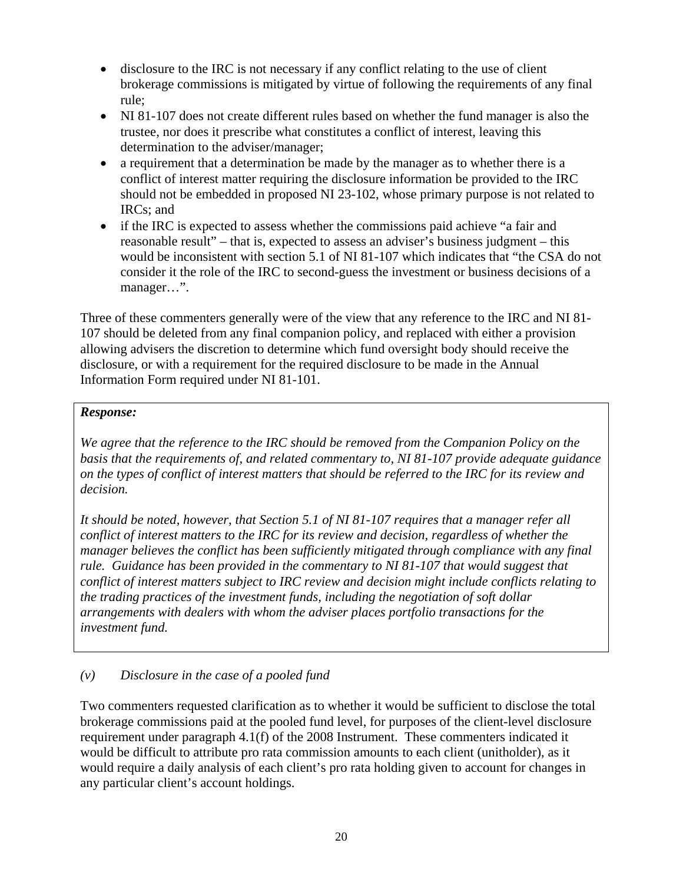- disclosure to the IRC is not necessary if any conflict relating to the use of client brokerage commissions is mitigated by virtue of following the requirements of any final rule;
- NI 81-107 does not create different rules based on whether the fund manager is also the trustee, nor does it prescribe what constitutes a conflict of interest, leaving this determination to the adviser/manager;
- a requirement that a determination be made by the manager as to whether there is a conflict of interest matter requiring the disclosure information be provided to the IRC should not be embedded in proposed NI 23-102, whose primary purpose is not related to IRCs; and
- if the IRC is expected to assess whether the commissions paid achieve "a fair and reasonable result" – that is, expected to assess an adviser's business judgment – this would be inconsistent with section 5.1 of NI 81-107 which indicates that "the CSA do not consider it the role of the IRC to second-guess the investment or business decisions of a manager…".

Three of these commenters generally were of the view that any reference to the IRC and NI 81- 107 should be deleted from any final companion policy, and replaced with either a provision allowing advisers the discretion to determine which fund oversight body should receive the disclosure, or with a requirement for the required disclosure to be made in the Annual Information Form required under NI 81-101.

### *Response:*

*We agree that the reference to the IRC should be removed from the Companion Policy on the basis that the requirements of, and related commentary to, NI 81-107 provide adequate guidance on the types of conflict of interest matters that should be referred to the IRC for its review and decision.* 

*It should be noted, however, that Section 5.1 of NI 81-107 requires that a manager refer all conflict of interest matters to the IRC for its review and decision, regardless of whether the manager believes the conflict has been sufficiently mitigated through compliance with any final rule. Guidance has been provided in the commentary to NI 81-107 that would suggest that conflict of interest matters subject to IRC review and decision might include conflicts relating to the trading practices of the investment funds, including the negotiation of soft dollar arrangements with dealers with whom the adviser places portfolio transactions for the investment fund.* 

# *(v) Disclosure in the case of a pooled fund*

Two commenters requested clarification as to whether it would be sufficient to disclose the total brokerage commissions paid at the pooled fund level, for purposes of the client-level disclosure requirement under paragraph 4.1(f) of the 2008 Instrument. These commenters indicated it would be difficult to attribute pro rata commission amounts to each client (unitholder), as it would require a daily analysis of each client's pro rata holding given to account for changes in any particular client's account holdings.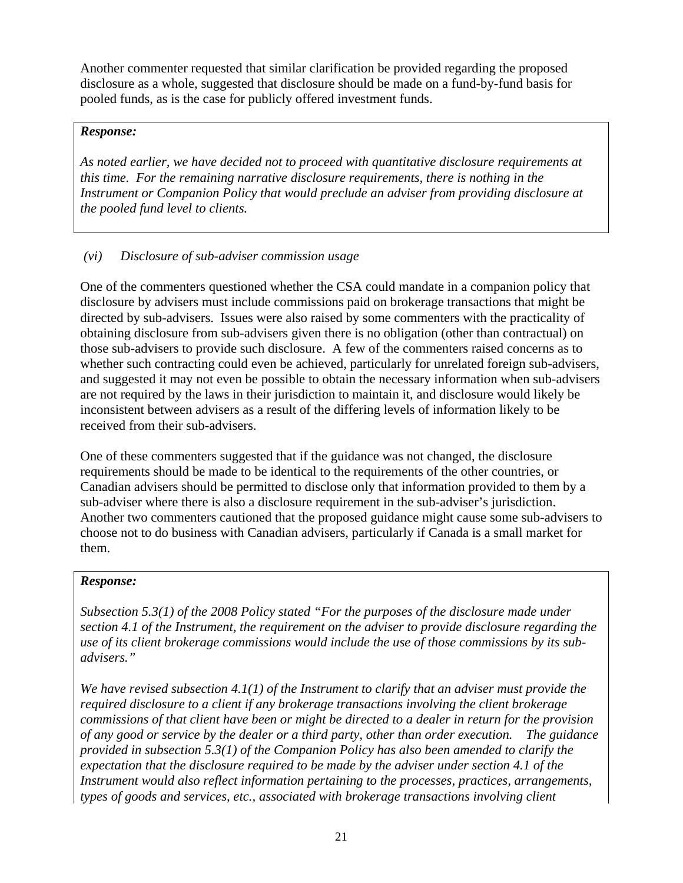Another commenter requested that similar clarification be provided regarding the proposed disclosure as a whole, suggested that disclosure should be made on a fund-by-fund basis for pooled funds, as is the case for publicly offered investment funds.

#### *Response:*

*As noted earlier, we have decided not to proceed with quantitative disclosure requirements at this time. For the remaining narrative disclosure requirements, there is nothing in the Instrument or Companion Policy that would preclude an adviser from providing disclosure at the pooled fund level to clients.* 

#### *(vi) Disclosure of sub-adviser commission usage*

One of the commenters questioned whether the CSA could mandate in a companion policy that disclosure by advisers must include commissions paid on brokerage transactions that might be directed by sub-advisers. Issues were also raised by some commenters with the practicality of obtaining disclosure from sub-advisers given there is no obligation (other than contractual) on those sub-advisers to provide such disclosure. A few of the commenters raised concerns as to whether such contracting could even be achieved, particularly for unrelated foreign sub-advisers, and suggested it may not even be possible to obtain the necessary information when sub-advisers are not required by the laws in their jurisdiction to maintain it, and disclosure would likely be inconsistent between advisers as a result of the differing levels of information likely to be received from their sub-advisers.

One of these commenters suggested that if the guidance was not changed, the disclosure requirements should be made to be identical to the requirements of the other countries, or Canadian advisers should be permitted to disclose only that information provided to them by a sub-adviser where there is also a disclosure requirement in the sub-adviser's jurisdiction. Another two commenters cautioned that the proposed guidance might cause some sub-advisers to choose not to do business with Canadian advisers, particularly if Canada is a small market for them.

#### *Response:*

*Subsection 5.3(1) of the 2008 Policy stated "For the purposes of the disclosure made under section 4.1 of the Instrument, the requirement on the adviser to provide disclosure regarding the use of its client brokerage commissions would include the use of those commissions by its subadvisers."* 

*We have revised subsection 4.1(1) of the Instrument to clarify that an adviser must provide the required disclosure to a client if any brokerage transactions involving the client brokerage commissions of that client have been or might be directed to a dealer in return for the provision of any good or service by the dealer or a third party, other than order execution. The guidance provided in subsection 5.3(1) of the Companion Policy has also been amended to clarify the expectation that the disclosure required to be made by the adviser under section 4.1 of the Instrument would also reflect information pertaining to the processes, practices, arrangements, types of goods and services, etc., associated with brokerage transactions involving client*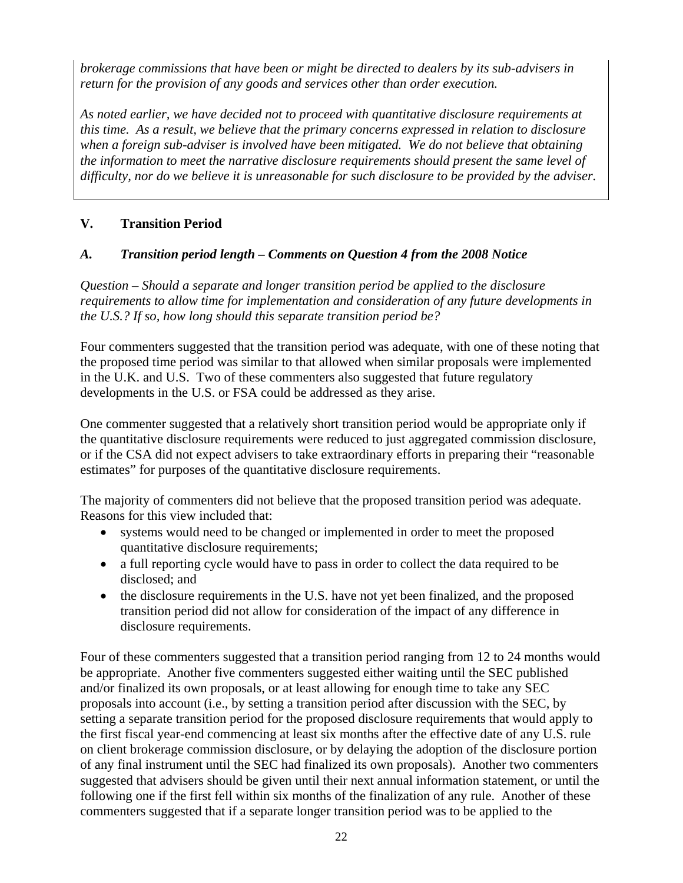*brokerage commissions that have been or might be directed to dealers by its sub-advisers in return for the provision of any goods and services other than order execution.* 

*As noted earlier, we have decided not to proceed with quantitative disclosure requirements at this time. As a result, we believe that the primary concerns expressed in relation to disclosure when a foreign sub-adviser is involved have been mitigated. We do not believe that obtaining the information to meet the narrative disclosure requirements should present the same level of difficulty, nor do we believe it is unreasonable for such disclosure to be provided by the adviser.* 

## **V. Transition Period**

### *A. Transition period length – Comments on Question 4 from the 2008 Notice*

*Question – Should a separate and longer transition period be applied to the disclosure requirements to allow time for implementation and consideration of any future developments in the U.S.? If so, how long should this separate transition period be?* 

Four commenters suggested that the transition period was adequate, with one of these noting that the proposed time period was similar to that allowed when similar proposals were implemented in the U.K. and U.S. Two of these commenters also suggested that future regulatory developments in the U.S. or FSA could be addressed as they arise.

One commenter suggested that a relatively short transition period would be appropriate only if the quantitative disclosure requirements were reduced to just aggregated commission disclosure, or if the CSA did not expect advisers to take extraordinary efforts in preparing their "reasonable estimates" for purposes of the quantitative disclosure requirements.

The majority of commenters did not believe that the proposed transition period was adequate. Reasons for this view included that:

- systems would need to be changed or implemented in order to meet the proposed quantitative disclosure requirements;
- a full reporting cycle would have to pass in order to collect the data required to be disclosed; and
- the disclosure requirements in the U.S. have not yet been finalized, and the proposed transition period did not allow for consideration of the impact of any difference in disclosure requirements.

Four of these commenters suggested that a transition period ranging from 12 to 24 months would be appropriate. Another five commenters suggested either waiting until the SEC published and/or finalized its own proposals, or at least allowing for enough time to take any SEC proposals into account (i.e., by setting a transition period after discussion with the SEC, by setting a separate transition period for the proposed disclosure requirements that would apply to the first fiscal year-end commencing at least six months after the effective date of any U.S. rule on client brokerage commission disclosure, or by delaying the adoption of the disclosure portion of any final instrument until the SEC had finalized its own proposals). Another two commenters suggested that advisers should be given until their next annual information statement, or until the following one if the first fell within six months of the finalization of any rule. Another of these commenters suggested that if a separate longer transition period was to be applied to the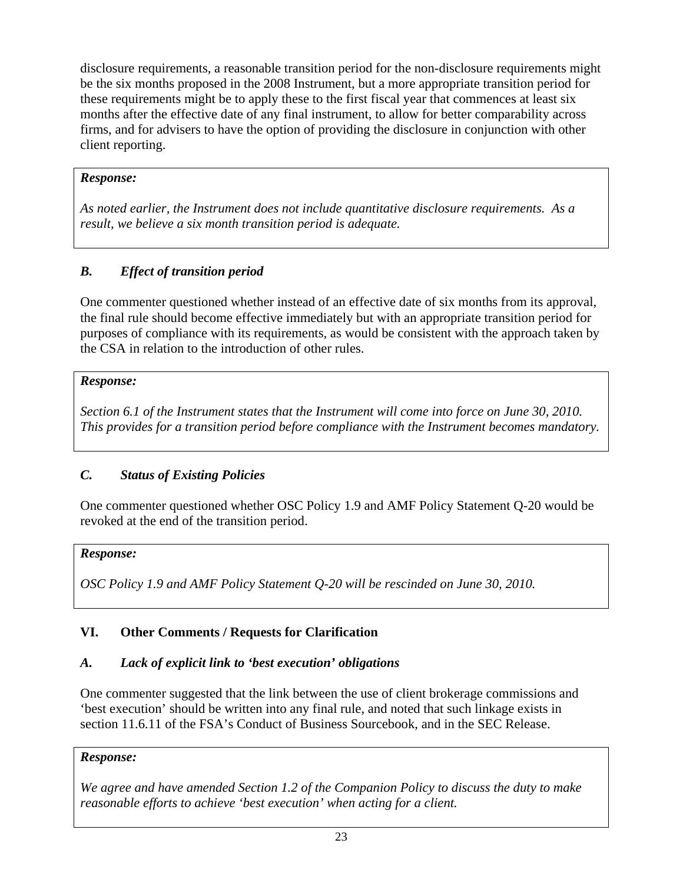disclosure requirements, a reasonable transition period for the non-disclosure requirements might be the six months proposed in the 2008 Instrument, but a more appropriate transition period for these requirements might be to apply these to the first fiscal year that commences at least six months after the effective date of any final instrument, to allow for better comparability across firms, and for advisers to have the option of providing the disclosure in conjunction with other client reporting.

# *Response:*

*As noted earlier, the Instrument does not include quantitative disclosure requirements. As a result, we believe a six month transition period is adequate.* 

# *B. Effect of transition period*

One commenter questioned whether instead of an effective date of six months from its approval, the final rule should become effective immediately but with an appropriate transition period for purposes of compliance with its requirements, as would be consistent with the approach taken by the CSA in relation to the introduction of other rules.

## *Response:*

*Section 6.1 of the Instrument states that the Instrument will come into force on June 30, 2010. This provides for a transition period before compliance with the Instrument becomes mandatory.* 

# *C. Status of Existing Policies*

One commenter questioned whether OSC Policy 1.9 and AMF Policy Statement Q-20 would be revoked at the end of the transition period.

### *Response:*

*OSC Policy 1.9 and AMF Policy Statement Q-20 will be rescinded on June 30, 2010.* 

# **VI. Other Comments / Requests for Clarification**

### *A. Lack of explicit link to 'best execution' obligations*

One commenter suggested that the link between the use of client brokerage commissions and 'best execution' should be written into any final rule, and noted that such linkage exists in section 11.6.11 of the FSA's Conduct of Business Sourcebook, and in the SEC Release.

### *Response:*

*We agree and have amended Section 1.2 of the Companion Policy to discuss the duty to make reasonable efforts to achieve 'best execution' when acting for a client.*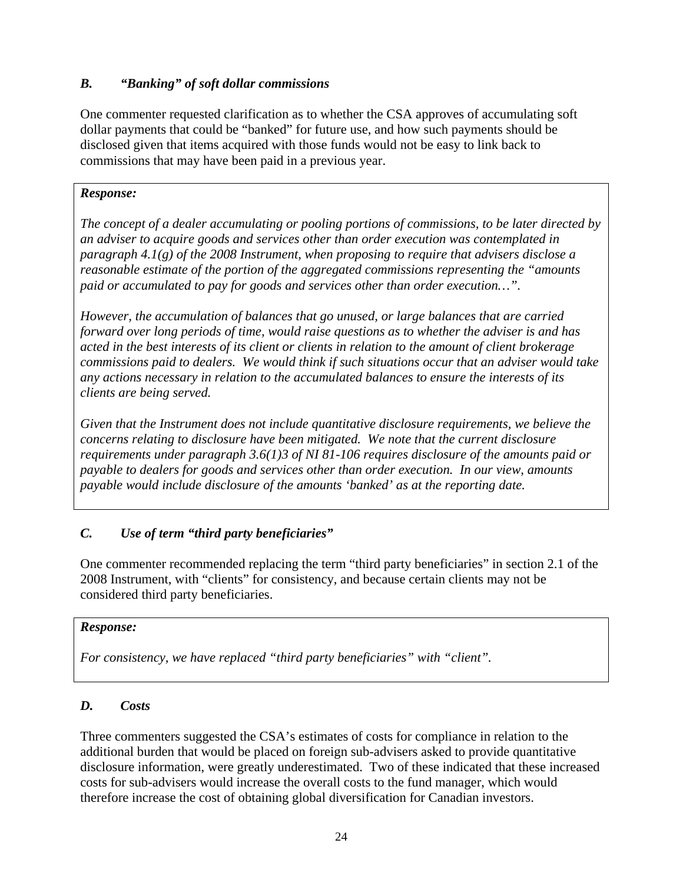## *B. "Banking" of soft dollar commissions*

One commenter requested clarification as to whether the CSA approves of accumulating soft dollar payments that could be "banked" for future use, and how such payments should be disclosed given that items acquired with those funds would not be easy to link back to commissions that may have been paid in a previous year.

### *Response:*

*The concept of a dealer accumulating or pooling portions of commissions, to be later directed by an adviser to acquire goods and services other than order execution was contemplated in paragraph 4.1(g) of the 2008 Instrument, when proposing to require that advisers disclose a reasonable estimate of the portion of the aggregated commissions representing the "amounts paid or accumulated to pay for goods and services other than order execution…".* 

*However, the accumulation of balances that go unused, or large balances that are carried forward over long periods of time, would raise questions as to whether the adviser is and has acted in the best interests of its client or clients in relation to the amount of client brokerage commissions paid to dealers. We would think if such situations occur that an adviser would take any actions necessary in relation to the accumulated balances to ensure the interests of its clients are being served.* 

*Given that the Instrument does not include quantitative disclosure requirements, we believe the concerns relating to disclosure have been mitigated. We note that the current disclosure requirements under paragraph 3.6(1)3 of NI 81-106 requires disclosure of the amounts paid or payable to dealers for goods and services other than order execution. In our view, amounts payable would include disclosure of the amounts 'banked' as at the reporting date.* 

### *C. Use of term "third party beneficiaries"*

One commenter recommended replacing the term "third party beneficiaries" in section 2.1 of the 2008 Instrument, with "clients" for consistency, and because certain clients may not be considered third party beneficiaries.

### *Response:*

*For consistency, we have replaced "third party beneficiaries" with "client".* 

### *D. Costs*

Three commenters suggested the CSA's estimates of costs for compliance in relation to the additional burden that would be placed on foreign sub-advisers asked to provide quantitative disclosure information, were greatly underestimated. Two of these indicated that these increased costs for sub-advisers would increase the overall costs to the fund manager, which would therefore increase the cost of obtaining global diversification for Canadian investors.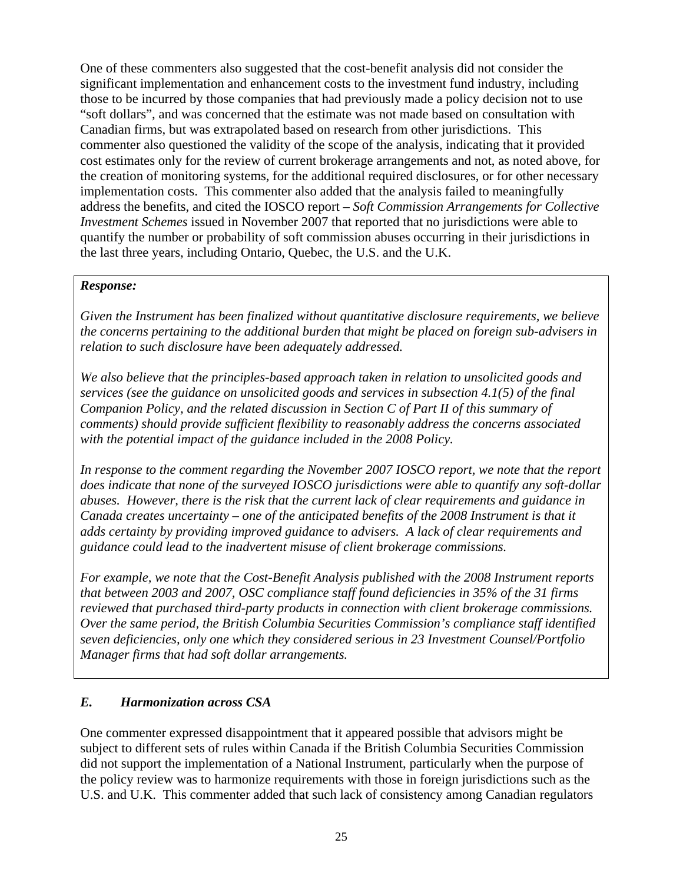One of these commenters also suggested that the cost-benefit analysis did not consider the significant implementation and enhancement costs to the investment fund industry, including those to be incurred by those companies that had previously made a policy decision not to use "soft dollars", and was concerned that the estimate was not made based on consultation with Canadian firms, but was extrapolated based on research from other jurisdictions. This commenter also questioned the validity of the scope of the analysis, indicating that it provided cost estimates only for the review of current brokerage arrangements and not, as noted above, for the creation of monitoring systems, for the additional required disclosures, or for other necessary implementation costs. This commenter also added that the analysis failed to meaningfully address the benefits, and cited the IOSCO report – *Soft Commission Arrangements for Collective Investment Schemes* issued in November 2007 that reported that no jurisdictions were able to quantify the number or probability of soft commission abuses occurring in their jurisdictions in the last three years, including Ontario, Quebec, the U.S. and the U.K.

### *Response:*

*Given the Instrument has been finalized without quantitative disclosure requirements, we believe the concerns pertaining to the additional burden that might be placed on foreign sub-advisers in relation to such disclosure have been adequately addressed.* 

*We also believe that the principles-based approach taken in relation to unsolicited goods and services (see the guidance on unsolicited goods and services in subsection 4.1(5) of the final Companion Policy, and the related discussion in Section C of Part II of this summary of comments) should provide sufficient flexibility to reasonably address the concerns associated with the potential impact of the guidance included in the 2008 Policy.* 

*In response to the comment regarding the November 2007 IOSCO report, we note that the report does indicate that none of the surveyed IOSCO jurisdictions were able to quantify any soft-dollar abuses. However, there is the risk that the current lack of clear requirements and guidance in Canada creates uncertainty – one of the anticipated benefits of the 2008 Instrument is that it adds certainty by providing improved guidance to advisers. A lack of clear requirements and guidance could lead to the inadvertent misuse of client brokerage commissions.* 

*For example, we note that the Cost-Benefit Analysis published with the 2008 Instrument reports that between 2003 and 2007, OSC compliance staff found deficiencies in 35% of the 31 firms reviewed that purchased third-party products in connection with client brokerage commissions. Over the same period, the British Columbia Securities Commission's compliance staff identified seven deficiencies, only one which they considered serious in 23 Investment Counsel/Portfolio Manager firms that had soft dollar arrangements.* 

# *E. Harmonization across CSA*

One commenter expressed disappointment that it appeared possible that advisors might be subject to different sets of rules within Canada if the British Columbia Securities Commission did not support the implementation of a National Instrument, particularly when the purpose of the policy review was to harmonize requirements with those in foreign jurisdictions such as the U.S. and U.K. This commenter added that such lack of consistency among Canadian regulators